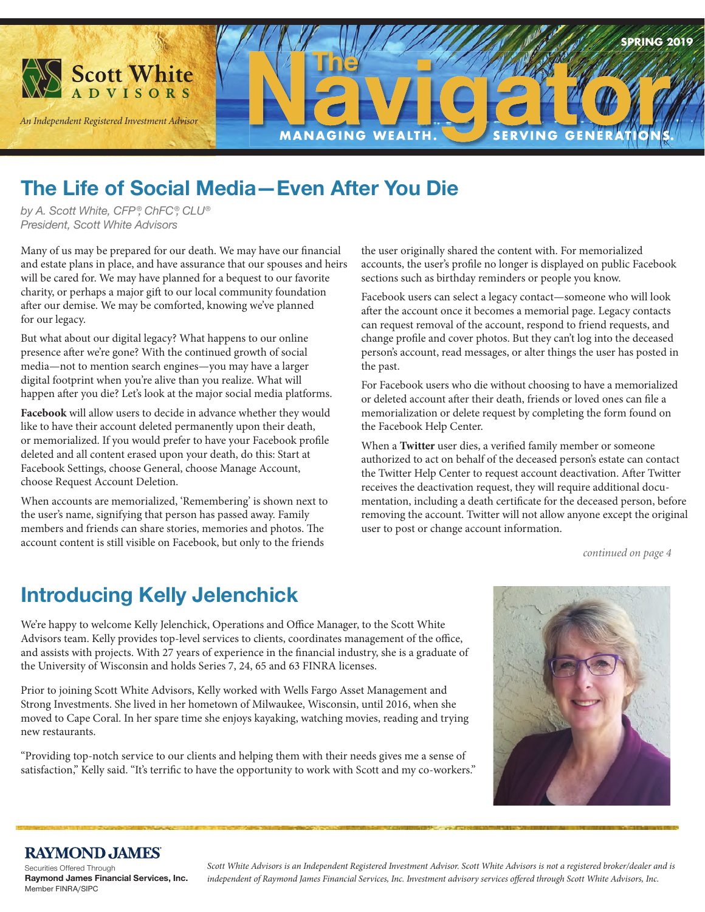

**Scott White** 

**The Life of Social Media—Even After You Die**

**The**

**MANAGING WEALTH.** 

*by A. Scott White, CFP ®, ChFC®, CLU® President, Scott White Advisors*

Many of us may be prepared for our death. We may have our financial and estate plans in place, and have assurance that our spouses and heirs will be cared for. We may have planned for a bequest to our favorite charity, or perhaps a major gift to our local community foundation after our demise. We may be comforted, knowing we've planned for our legacy.

But what about our digital legacy? What happens to our online presence after we're gone? With the continued growth of social media—not to mention search engines—you may have a larger digital footprint when you're alive than you realize. What will happen after you die? Let's look at the major social media platforms.

**Facebook** will allow users to decide in advance whether they would like to have their account deleted permanently upon their death, or memorialized. If you would prefer to have your Facebook profile deleted and all content erased upon your death, do this: Start at Facebook Settings, choose General, choose Manage Account, choose Request Account Deletion.

When accounts are memorialized, 'Remembering' is shown next to the user's name, signifying that person has passed away. Family members and friends can share stories, memories and photos. The account content is still visible on Facebook, but only to the friends

the user originally shared the content with. For memorialized accounts, the user's profile no longer is displayed on public Facebook sections such as birthday reminders or people you know.

**SERVING GENE** 

Facebook users can select a legacy contact—someone who will look after the account once it becomes a memorial page. Legacy contacts can request removal of the account, respond to friend requests, and change profile and cover photos. But they can't log into the deceased person's account, read messages, or alter things the user has posted in the past.

For Facebook users who die without choosing to have a memorialized or deleted account after their death, friends or loved ones can file a memorialization or delete request by completing the form found on the Facebook Help Center.

When a Twitter user dies, a verified family member or someone authorized to act on behalf of the deceased person's estate can contact the Twitter Help Center to request account deactivation. After Twitter receives the deactivation request, they will require additional documentation, including a death certificate for the deceased person, before removing the account. Twitter will not allow anyone except the original user to post or change account information.

*continued on page 4*

**SPRING 2019**

## **Introducing Kelly Jelenchick**

We're happy to welcome Kelly Jelenchick, Operations and Office Manager, to the Scott White Advisors team. Kelly provides top-level services to clients, coordinates management of the office, and assists with projects. With 27 years of experience in the financial industry, she is a graduate of the University of Wisconsin and holds Series 7, 24, 65 and 63 FINRA licenses.

Prior to joining Scott White Advisors, Kelly worked with Wells Fargo Asset Management and Strong Investments. She lived in her hometown of Milwaukee, Wisconsin, until 2016, when she moved to Cape Coral. In her spare time she enjoys kayaking, watching movies, reading and trying new restaurants.

"Providing top-notch service to our clients and helping them with their needs gives me a sense of satisfaction," Kelly said. "It's terrific to have the opportunity to work with Scott and my co-workers."



#### **RAYMOND JAMES**

Securities Offered Through **Raymond James Financial Services, Inc.**  Member FINRA/SIPC

*Scott White Advisors is an Independent Registered Investment Advisor. Scott White Advisors is not a registered broker/dealer and is independent of Raymond James Financial Services, Inc. Investment advisory services offered through Scott White Advisors, Inc.*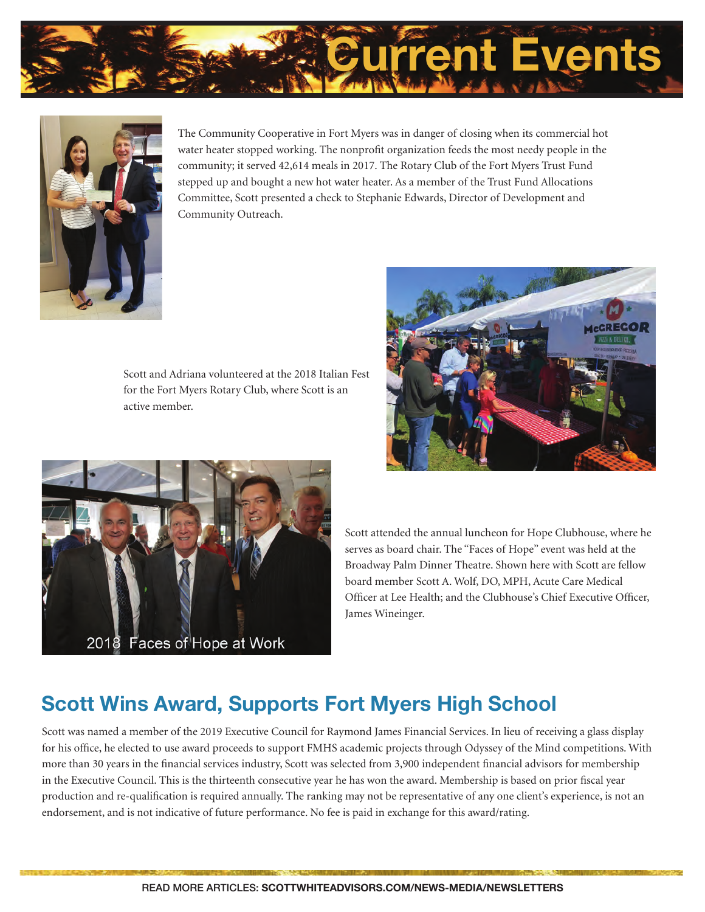



The Community Cooperative in Fort Myers was in danger of closing when its commercial hot water heater stopped working. The nonprofit organization feeds the most needy people in the community; it served 42,614 meals in 2017. The Rotary Club of the Fort Myers Trust Fund stepped up and bought a new hot water heater. As a member of the Trust Fund Allocations Committee, Scott presented a check to Stephanie Edwards, Director of Development and Community Outreach.

Scott and Adriana volunteered at the 2018 Italian Fest for the Fort Myers Rotary Club, where Scott is an active member.





Scott attended the annual luncheon for Hope Clubhouse, where he serves as board chair. The "Faces of Hope" event was held at the Broadway Palm Dinner Theatre. Shown here with Scott are fellow board member Scott A. Wolf, DO, MPH, Acute Care Medical Officer at Lee Health; and the Clubhouse's Chief Executive Officer, James Wineinger.

# **Scott Wins Award, Supports Fort Myers High School**

Scott was named a member of the 2019 Executive Council for Raymond James Financial Services. In lieu of receiving a glass display for his office, he elected to use award proceeds to support FMHS academic projects through Odyssey of the Mind competitions. With more than 30 years in the financial services industry, Scott was selected from 3,900 independent financial advisors for membership in the Executive Council. This is the thirteenth consecutive year he has won the award. Membership is based on prior fiscal year production and re-qualification is required annually. The ranking may not be representative of any one client's experience, is not an endorsement, and is not indicative of future performance. No fee is paid in exchange for this award/rating.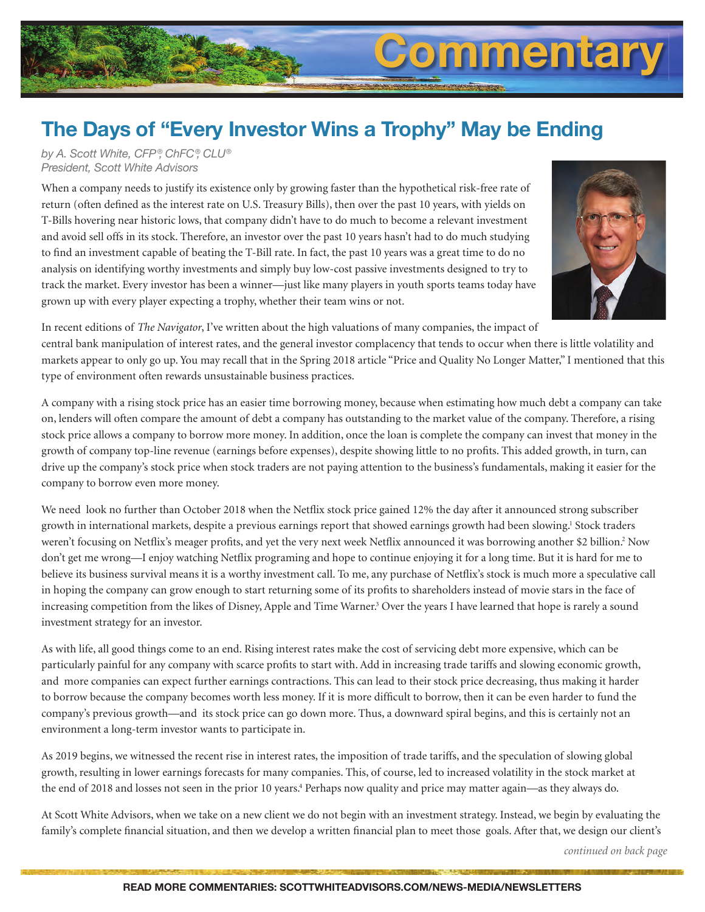# **Commentary**

# **The Days of "Every Investor Wins a Trophy" May be Ending**

*by A. Scott White, CFP ®, ChFC®, CLU® President, Scott White Advisors*

When a company needs to justify its existence only by growing faster than the hypothetical risk-free rate of return (often defined as the interest rate on U.S. Treasury Bills), then over the past 10 years, with yields on T-Bills hovering near historic lows, that company didn't have to do much to become a relevant investment and avoid sell offs in its stock. Therefore, an investor over the past 10 years hasn't had to do much studying to find an investment capable of beating the T-Bill rate. In fact, the past 10 years was a great time to do no analysis on identifying worthy investments and simply buy low-cost passive investments designed to try to track the market. Every investor has been a winner—just like many players in youth sports teams today have grown up with every player expecting a trophy, whether their team wins or not.



In recent editions of *The Navigator*, I've written about the high valuations of many companies, the impact of central bank manipulation of interest rates, and the general investor complacency that tends to occur when there is little volatility and markets appear to only go up. You may recall that in the Spring 2018 article "Price and Quality No Longer Matter," I mentioned that this type of environment often rewards unsustainable business practices.

A company with a rising stock price has an easier time borrowing money, because when estimating how much debt a company can take on, lenders will often compare the amount of debt a company has outstanding to the market value of the company. Therefore, a rising stock price allows a company to borrow more money. In addition, once the loan is complete the company can invest that money in the growth of company top-line revenue (earnings before expenses), despite showing little to no profits. This added growth, in turn, can drive up the company's stock price when stock traders are not paying attention to the business's fundamentals, making it easier for the company to borrow even more money.

We need look no further than October 2018 when the Netflix stock price gained 12% the day after it announced strong subscriber growth in international markets, despite a previous earnings report that showed earnings growth had been slowing.<sup>1</sup> Stock traders weren't focusing on Netflix's meager profits, and yet the very next week Netflix announced it was borrowing another \$2 billion.<sup>2</sup> Now don't get me wrong—I enjoy watching Netflix programing and hope to continue enjoying it for a long time. But it is hard for me to believe its business survival means it is a worthy investment call. To me, any purchase of Netflix's stock is much more a speculative call in hoping the company can grow enough to start returning some of its profits to shareholders instead of movie stars in the face of increasing competition from the likes of Disney, Apple and Time Warner.<sup>3</sup> Over the years I have learned that hope is rarely a sound investment strategy for an investor.

As with life, all good things come to an end. Rising interest rates make the cost of servicing debt more expensive, which can be particularly painful for any company with scarce profits to start with. Add in increasing trade tariffs and slowing economic growth, and more companies can expect further earnings contractions. This can lead to their stock price decreasing, thus making it harder to borrow because the company becomes worth less money. If it is more difficult to borrow, then it can be even harder to fund the company's previous growth—and its stock price can go down more. Thus, a downward spiral begins, and this is certainly not an environment a long-term investor wants to participate in.

As 2019 begins, we witnessed the recent rise in interest rates, the imposition of trade tariffs, and the speculation of slowing global growth, resulting in lower earnings forecasts for many companies. This, of course, led to increased volatility in the stock market at the end of 2018 and losses not seen in the prior 10 years.<sup>4</sup> Perhaps now quality and price may matter again—as they always do.

At Scott White Advisors, when we take on a new client we do not begin with an investment strategy. Instead, we begin by evaluating the family's complete financial situation, and then we develop a written financial plan to meet those goals. After that, we design our client's

*continued on back page*